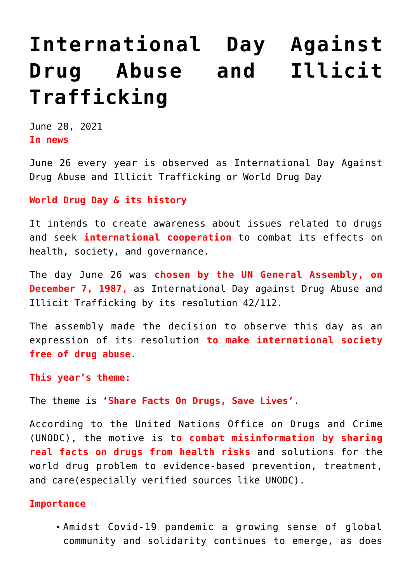# **[International Day Against](https://journalsofindia.com/international-day-against-drug-abuse-and-illicit-trafficking/) [Drug Abuse and Illicit](https://journalsofindia.com/international-day-against-drug-abuse-and-illicit-trafficking/) [Trafficking](https://journalsofindia.com/international-day-against-drug-abuse-and-illicit-trafficking/)**

June 28, 2021 **In news**

June 26 every year is observed as International Day Against Drug Abuse and Illicit Trafficking or World Drug Day

#### **World Drug Day & its history**

It intends to create awareness about issues related to drugs and seek **international cooperation** to combat its effects on health, society, and governance.

The day June 26 was **chosen by the UN General Assembly, on December 7, 1987,** as International Day against Drug Abuse and Illicit Trafficking by its resolution 42/112.

The assembly made the decision to observe this day as an expression of its resolution **to make international society free of drug abuse.**

**This year's theme:** 

The theme is '**Share Facts On Drugs, Save Lives'**.

According to the United Nations Office on Drugs and Crime (UNODC), the motive is t**o combat misinformation by sharing real facts on drugs from health risks** and solutions for the world drug problem to evidence-based prevention, treatment, and care(especially verified sources like UNODC).

#### **Importance**

Amidst Covid-19 pandemic a growing sense of global community and solidarity continues to emerge, as does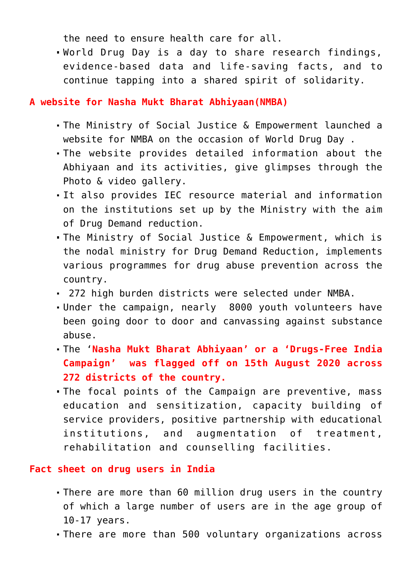the need to ensure health care for all.

World Drug Day is a day to share research findings, evidence-based data and life-saving facts, and to continue tapping into a shared spirit of solidarity.

## **A website for Nasha Mukt Bharat Abhiyaan(NMBA)**

- The Ministry of Social Justice & Empowerment launched a website for NMBA on the occasion of World Drug Day .
- The website provides detailed information about the Abhiyaan and its activities, give glimpses through the Photo & video gallery.
- It also provides IEC resource material and information on the institutions set up by the Ministry with the aim of Drug Demand reduction.
- The Ministry of Social Justice & Empowerment, which is the nodal ministry for Drug Demand Reduction, implements various programmes for drug abuse prevention across the country.
- 272 high burden districts were selected under NMBA.
- Under the campaign, nearly 8000 youth volunteers have been going door to door and canvassing against substance abuse.
- The '**Nasha Mukt Bharat Abhiyaan' or a 'Drugs-Free India Campaign' was flagged off on 15th August 2020 across 272 districts of the country.**
- The focal points of the Campaign are preventive, mass education and sensitization, capacity building of service providers, positive partnership with educational institutions, and augmentation of treatment, rehabilitation and counselling facilities.

## **Fact sheet on drug users in India**

- There are more than 60 million drug users in the country of which a large number of users are in the age group of 10-17 years.
- There are more than 500 voluntary organizations across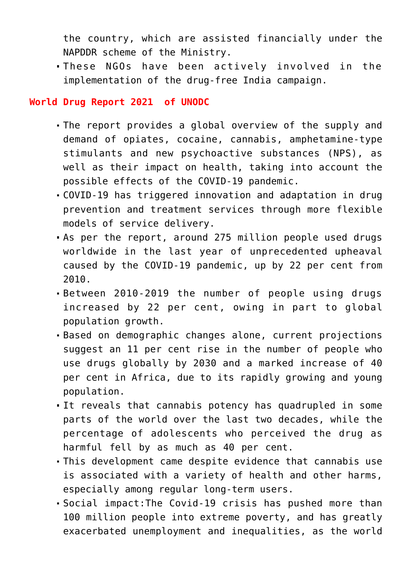the country, which are assisted financially under the NAPDDR scheme of the Ministry.

These NGOs have been actively involved in the implementation of the drug-free India campaign.

### **World Drug Report 2021 of UNODC**

- The report provides a global overview of the supply and demand of opiates, cocaine, cannabis, amphetamine-type stimulants and new psychoactive substances (NPS), as well as their impact on health, taking into account the possible effects of the COVID-19 pandemic.
- COVID-19 has triggered innovation and adaptation in drug prevention and treatment services through more flexible models of service delivery.
- As per the report, around 275 million people used drugs worldwide in the last year of unprecedented upheaval caused by the COVID-19 pandemic, up by 22 per cent from 2010.
- Between 2010-2019 the number of people using drugs increased by 22 per cent, owing in part to global population growth.
- Based on demographic changes alone, current projections suggest an 11 per cent rise in the number of people who use drugs globally by 2030 and a marked increase of 40 per cent in Africa, due to its rapidly growing and young population.
- It reveals that cannabis potency has quadrupled in some parts of the world over the last two decades, while the percentage of adolescents who perceived the drug as harmful fell by as much as 40 per cent.
- This development came despite evidence that cannabis use is associated with a variety of health and other harms, especially among regular long-term users.
- Social impact:The Covid-19 crisis has pushed more than 100 million people into extreme poverty, and has greatly exacerbated unemployment and inequalities, as the world